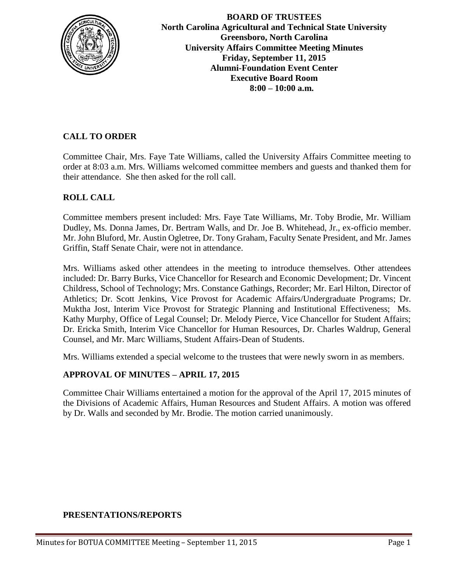

**BOARD OF TRUSTEES North Carolina Agricultural and Technical State University Greensboro, North Carolina University Affairs Committee Meeting Minutes Friday, September 11, 2015 Alumni-Foundation Event Center Executive Board Room 8:00 – 10:00 a.m.**

# **CALL TO ORDER**

Committee Chair, Mrs. Faye Tate Williams, called the University Affairs Committee meeting to order at 8:03 a.m. Mrs. Williams welcomed committee members and guests and thanked them for their attendance. She then asked for the roll call.

## **ROLL CALL**

Committee members present included: Mrs. Faye Tate Williams, Mr. Toby Brodie, Mr. William Dudley, Ms. Donna James, Dr. Bertram Walls, and Dr. Joe B. Whitehead, Jr., ex-officio member. Mr. John Bluford, Mr. Austin Ogletree, Dr. Tony Graham, Faculty Senate President, and Mr. James Griffin, Staff Senate Chair, were not in attendance.

Mrs. Williams asked other attendees in the meeting to introduce themselves. Other attendees included: Dr. Barry Burks, Vice Chancellor for Research and Economic Development; Dr. Vincent Childress, School of Technology; Mrs. Constance Gathings, Recorder; Mr. Earl Hilton, Director of Athletics; Dr. Scott Jenkins, Vice Provost for Academic Affairs/Undergraduate Programs; Dr. Muktha Jost, Interim Vice Provost for Strategic Planning and Institutional Effectiveness; Ms. Kathy Murphy, Office of Legal Counsel; Dr. Melody Pierce, Vice Chancellor for Student Affairs; Dr. Ericka Smith, Interim Vice Chancellor for Human Resources, Dr. Charles Waldrup, General Counsel, and Mr. Marc Williams, Student Affairs-Dean of Students.

Mrs. Williams extended a special welcome to the trustees that were newly sworn in as members.

## **APPROVAL OF MINUTES – APRIL 17, 2015**

Committee Chair Williams entertained a motion for the approval of the April 17, 2015 minutes of the Divisions of Academic Affairs, Human Resources and Student Affairs. A motion was offered by Dr. Walls and seconded by Mr. Brodie. The motion carried unanimously.

## **PRESENTATIONS/REPORTS**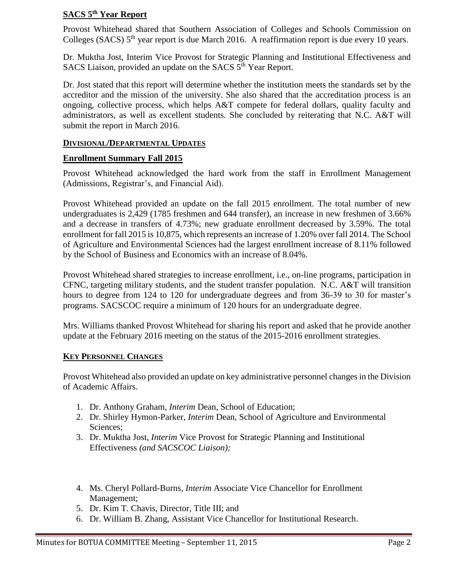#### **SACS 5th Year Report**

Provost Whitehead shared that Southern Association of Colleges and Schools Commission on Colleges (SACS)  $5<sup>th</sup>$  year report is due March 2016. A reaffirmation report is due every 10 years.

Dr. Muktha Jost, Interim Vice Provost for Strategic Planning and Institutional Effectiveness and SACS Liaison, provided an update on the SACS 5<sup>th</sup> Year Report.

Dr. Jost stated that this report will determine whether the institution meets the standards set by the accreditor and the mission of the university. She also shared that the accreditation process is an ongoing, collective process, which helps A&T compete for federal dollars, quality faculty and administrators, as well as excellent students. She concluded by reiterating that N.C. A&T will submit the report in March 2016.

#### **DIVISIONAL/DEPARTMENTAL UPDATES**

#### **Enrollment Summary Fall 2015**

Provost Whitehead acknowledged the hard work from the staff in Enrollment Management (Admissions, Registrar's, and Financial Aid).

Provost Whitehead provided an update on the fall 2015 enrollment. The total number of new undergraduates is 2,429 (1785 freshmen and 644 transfer), an increase in new freshmen of 3.66% and a decrease in transfers of 4.73%; new graduate enrollment decreased by 3.59%. The total enrollment for fall 2015 is 10,875, which represents an increase of 1.20% over fall 2014. The School of Agriculture and Environmental Sciences had the largest enrollment increase of 8.11% followed by the School of Business and Economics with an increase of 8.04%.

Provost Whitehead shared strategies to increase enrollment, i.e., on-line programs, participation in CFNC, targeting military students, and the student transfer population. N.C. A&T will transition hours to degree from 124 to 120 for undergraduate degrees and from 36-39 to 30 for master's programs. SACSCOC require a minimum of 120 hours for an undergraduate degree.

Mrs. Williams thanked Provost Whitehead for sharing his report and asked that he provide another update at the February 2016 meeting on the status of the 2015-2016 enrollment strategies.

#### **KEY PERSONNEL CHANGES**

Provost Whitehead also provided an update on key administrative personnel changes in the Division of Academic Affairs.

- 1. Dr. Anthony Graham, *Interim* Dean, School of Education;
- 2. Dr. Shirley Hymon-Parker, *Interim* Dean, School of Agriculture and Environmental Sciences;
- 3. Dr. Muktha Jost, *Interim* Vice Provost for Strategic Planning and Institutional Effectiveness *(and SACSCOC Liaison);*
- 4. Ms. Cheryl Pollard-Burns*, Interim* Associate Vice Chancellor for Enrollment Management;
- 5. Dr. Kim T. Chavis, Director, Title III; and
- 6. Dr. William B. Zhang, Assistant Vice Chancellor for Institutional Research.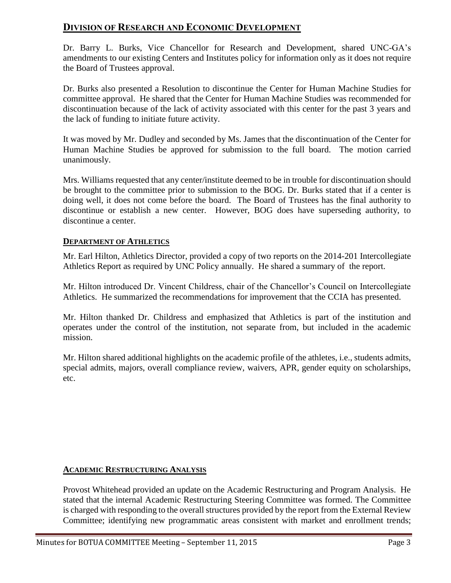# **DIVISION OF RESEARCH AND ECONOMIC DEVELOPMENT**

Dr. Barry L. Burks, Vice Chancellor for Research and Development, shared UNC-GA's amendments to our existing Centers and Institutes policy for information only as it does not require the Board of Trustees approval.

Dr. Burks also presented a Resolution to discontinue the Center for Human Machine Studies for committee approval. He shared that the Center for Human Machine Studies was recommended for discontinuation because of the lack of activity associated with this center for the past 3 years and the lack of funding to initiate future activity.

It was moved by Mr. Dudley and seconded by Ms. James that the discontinuation of the Center for Human Machine Studies be approved for submission to the full board. The motion carried unanimously.

Mrs. Williams requested that any center/institute deemed to be in trouble for discontinuation should be brought to the committee prior to submission to the BOG. Dr. Burks stated that if a center is doing well, it does not come before the board. The Board of Trustees has the final authority to discontinue or establish a new center. However, BOG does have superseding authority, to discontinue a center.

## **DEPARTMENT OF ATHLETICS**

Mr. Earl Hilton, Athletics Director, provided a copy of two reports on the 2014-201 Intercollegiate Athletics Report as required by UNC Policy annually. He shared a summary of the report.

Mr. Hilton introduced Dr. Vincent Childress, chair of the Chancellor's Council on Intercollegiate Athletics. He summarized the recommendations for improvement that the CCIA has presented.

Mr. Hilton thanked Dr. Childress and emphasized that Athletics is part of the institution and operates under the control of the institution, not separate from, but included in the academic mission.

Mr. Hilton shared additional highlights on the academic profile of the athletes, i.e., students admits, special admits, majors, overall compliance review, waivers, APR, gender equity on scholarships, etc.

# **ACADEMIC RESTRUCTURING ANALYSIS**

Provost Whitehead provided an update on the Academic Restructuring and Program Analysis. He stated that the internal Academic Restructuring Steering Committee was formed. The Committee is charged with responding to the overall structures provided by the report from the External Review Committee; identifying new programmatic areas consistent with market and enrollment trends;